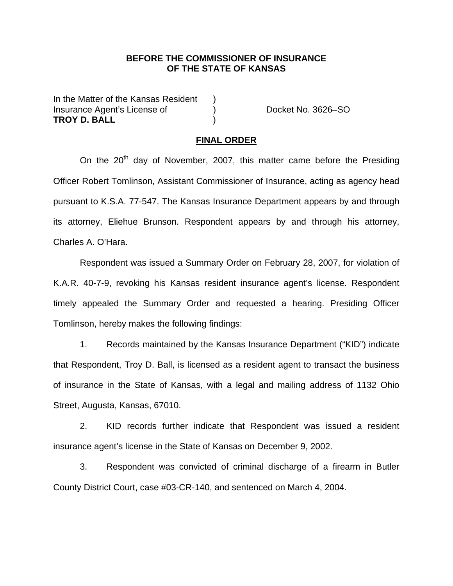## **BEFORE THE COMMISSIONER OF INSURANCE OF THE STATE OF KANSAS**

In the Matter of the Kansas Resident ) Insurance Agent's License of (a) The Cocket No. 3626–SO **TROY D. BALL** )

## **FINAL ORDER**

On the 20<sup>th</sup> day of November, 2007, this matter came before the Presiding Officer Robert Tomlinson, Assistant Commissioner of Insurance, acting as agency head pursuant to K.S.A. 77-547. The Kansas Insurance Department appears by and through its attorney, Eliehue Brunson. Respondent appears by and through his attorney, Charles A. O'Hara.

Respondent was issued a Summary Order on February 28, 2007, for violation of K.A.R. 40-7-9, revoking his Kansas resident insurance agent's license. Respondent timely appealed the Summary Order and requested a hearing. Presiding Officer Tomlinson, hereby makes the following findings:

 1. Records maintained by the Kansas Insurance Department ("KID") indicate that Respondent, Troy D. Ball, is licensed as a resident agent to transact the business of insurance in the State of Kansas, with a legal and mailing address of 1132 Ohio Street, Augusta, Kansas, 67010.

2. KID records further indicate that Respondent was issued a resident insurance agent's license in the State of Kansas on December 9, 2002.

3. Respondent was convicted of criminal discharge of a firearm in Butler County District Court, case #03-CR-140, and sentenced on March 4, 2004.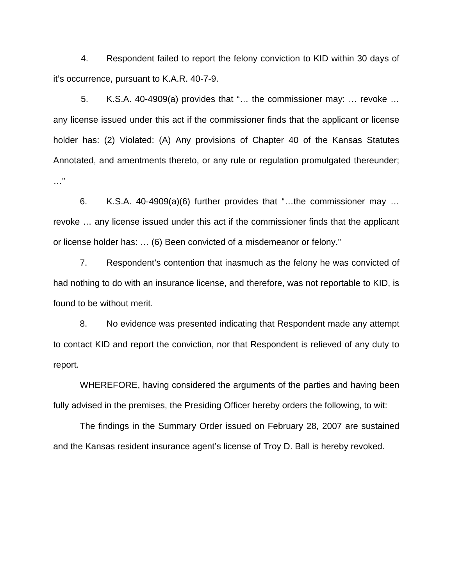4. Respondent failed to report the felony conviction to KID within 30 days of it's occurrence, pursuant to K.A.R. 40-7-9.

5. K.S.A. 40-4909(a) provides that "… the commissioner may: … revoke … any license issued under this act if the commissioner finds that the applicant or license holder has: (2) Violated: (A) Any provisions of Chapter 40 of the Kansas Statutes Annotated, and amentments thereto, or any rule or regulation promulgated thereunder; …"

 6. K.S.A. 40-4909(a)(6) further provides that "…the commissioner may … revoke … any license issued under this act if the commissioner finds that the applicant or license holder has: … (6) Been convicted of a misdemeanor or felony."

 7. Respondent's contention that inasmuch as the felony he was convicted of had nothing to do with an insurance license, and therefore, was not reportable to KID, is found to be without merit.

 8. No evidence was presented indicating that Respondent made any attempt to contact KID and report the conviction, nor that Respondent is relieved of any duty to report.

 WHEREFORE, having considered the arguments of the parties and having been fully advised in the premises, the Presiding Officer hereby orders the following, to wit:

The findings in the Summary Order issued on February 28, 2007 are sustained and the Kansas resident insurance agent's license of Troy D. Ball is hereby revoked.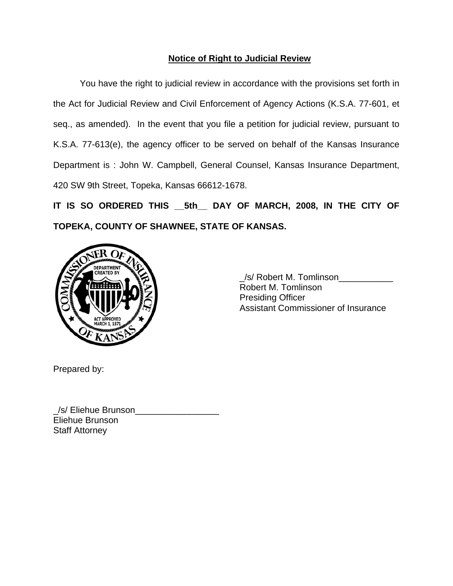## **Notice of Right to Judicial Review**

 You have the right to judicial review in accordance with the provisions set forth in the Act for Judicial Review and Civil Enforcement of Agency Actions (K.S.A. 77-601, et seq., as amended). In the event that you file a petition for judicial review, pursuant to K.S.A. 77-613(e), the agency officer to be served on behalf of the Kansas Insurance Department is : John W. Campbell, General Counsel, Kansas Insurance Department, 420 SW 9th Street, Topeka, Kansas 66612-1678.

**IT IS SO ORDERED THIS \_\_5th\_\_ DAY OF MARCH, 2008, IN THE CITY OF TOPEKA, COUNTY OF SHAWNEE, STATE OF KANSAS.** 



 \_/s/ Robert M. Tomlinson\_\_\_\_\_\_\_\_\_\_\_ Robert M. Tomlinson Presiding Officer Assistant Commissioner of Insurance

Prepared by:

\_/s/ Eliehue Brunson\_\_\_\_\_\_\_\_\_\_\_\_\_\_\_\_\_ Eliehue Brunson Staff Attorney